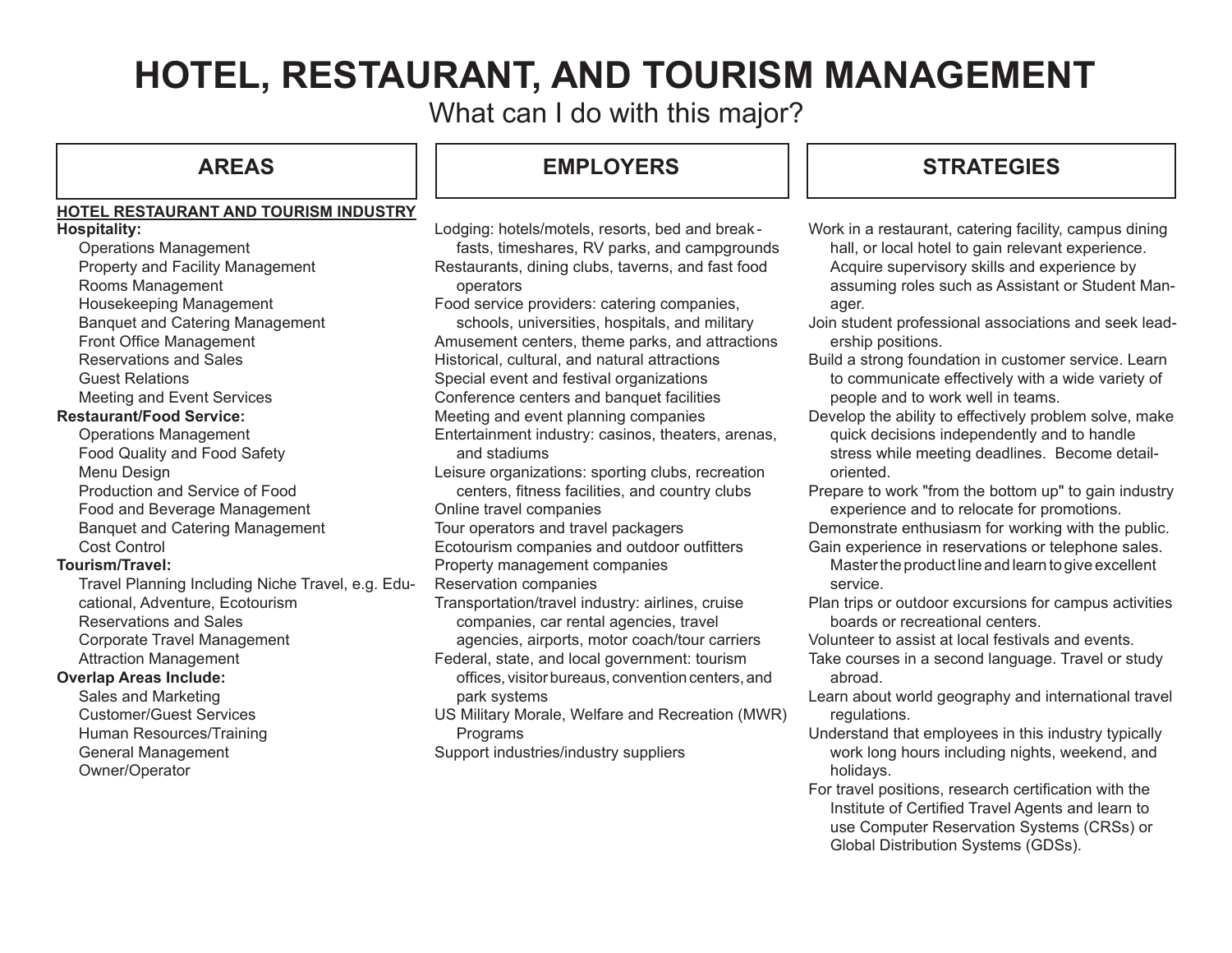# **HOTEL, RESTAURANT, AND TOURISM MANAGEMENT**

What can I do with this major?

### **HOTEL RESTAURANT AND TOURISM INDUSTRY Hospitality:**

Operations Management Property and Facility Management Rooms Management Housekeeping Management Banquet and Catering Management Front Office Management Reservations and Sales Guest Relations Meeting and Event Services **Restaurant/Food Service:** Operations Management Food Quality and Food Safety Menu Design Production and Service of Food Food and Beverage Management Banquet and Catering Management Cost Control **Tourism/Travel:** Travel Planning Including Niche Travel, e.g. Educational, Adventure, Ecotourism Reservations and Sales Corporate Travel Management Attraction Management

## **Overlap Areas Include:**

Sales and Marketing Customer/Guest Services Human Resources/Training General Management Owner/Operator

Lodging: hotels/motels, resorts, bed and break fasts, timeshares, RV parks, and campgrounds Restaurants, dining clubs, taverns, and fast food operators

Food service providers: catering companies,

schools, universities, hospitals, and military Amusement centers, theme parks, and attractions Historical, cultural, and natural attractions Special event and festival organizations Conference centers and banquet facilities Meeting and event planning companies Entertainment industry: casinos, theaters, arenas, and stadiums

Leisure organizations: sporting clubs, recreation centers, fitness facilities, and country clubs Online travel companies Tour operators and travel packagers Ecotourism companies and outdoor outfitters Property management companies

Reservation companies

Transportation/travel industry: airlines, cruise companies, car rental agencies, travel

agencies, airports, motor coach/tour carriers Federal, state, and local government: tourism

offices, visitor bureaus, convention centers, and park systems

US Military Morale, Welfare and Recreation (MWR) Programs Support industries/industry suppliers

## **AREAS EMPLOYERS STRATEGIES**

- Work in a restaurant, catering facility, campus dining hall, or local hotel to gain relevant experience. Acquire supervisory skills and experience by assuming roles such as Assistant or Student Manager.
- Join student professional associations and seek leadership positions.
- Build a strong foundation in customer service. Learn to communicate effectively with a wide variety of people and to work well in teams.
- Develop the ability to effectively problem solve, make quick decisions independently and to handle stress while meeting deadlines. Become detailoriented.
- Prepare to work "from the bottom up" to gain industry experience and to relocate for promotions.

Demonstrate enthusiasm for working with the public.

Gain experience in reservations or telephone sales.

Master the product line and learn to give excellent service.

Plan trips or outdoor excursions for campus activities boards or recreational centers.

Volunteer to assist at local festivals and events.

- Take courses in a second language. Travel or study abroad.
- Learn about world geography and international travel regulations.
- Understand that employees in this industry typically work long hours including nights, weekend, and holidays.
- For travel positions, research certification with the Institute of Certified Travel Agents and learn to use Computer Reservation Systems (CRSs) or Global Distribution Systems (GDSs).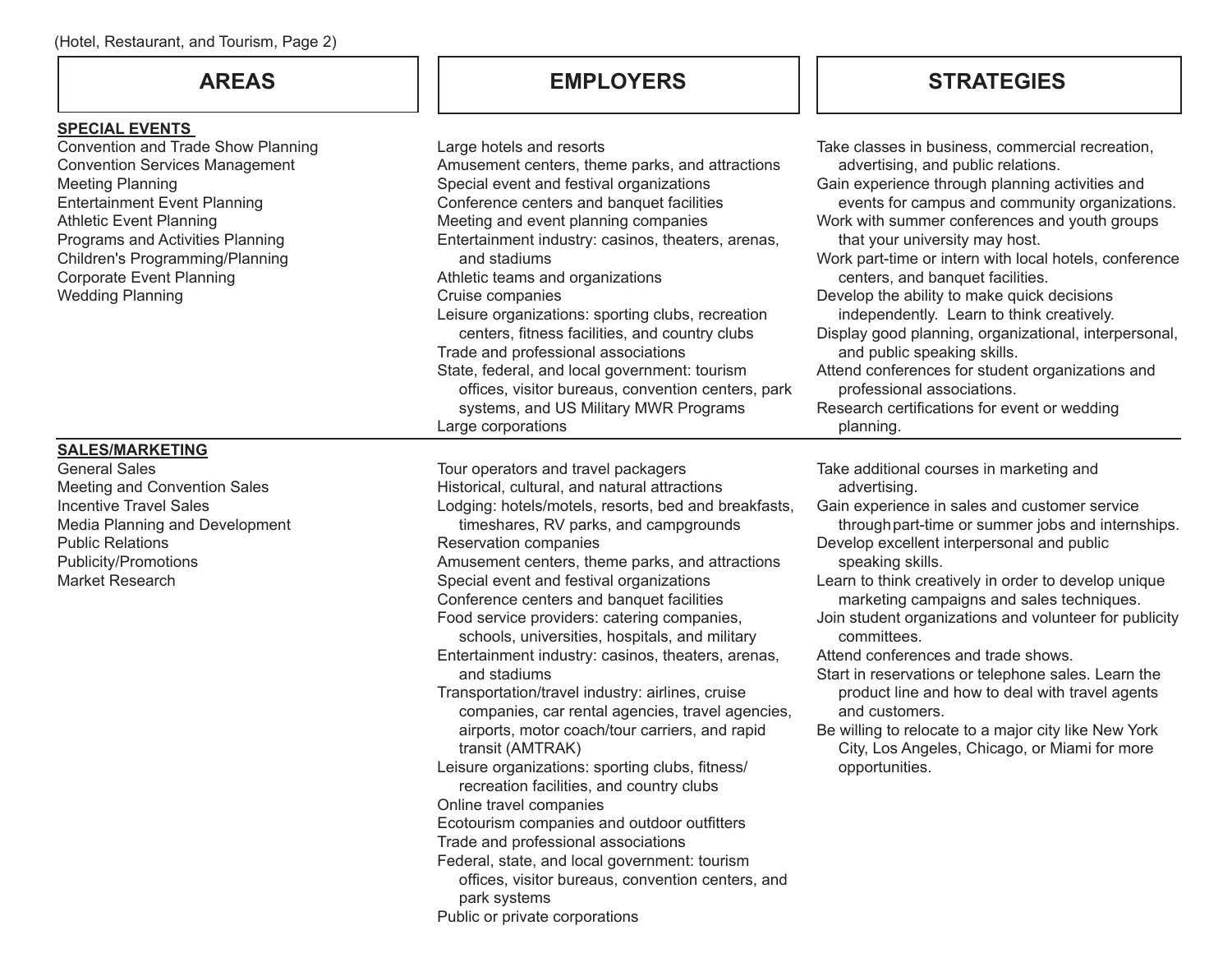## **SPECIAL EVENTS**

Convention and Trade Show Planning Convention Services Management Meeting Planning Entertainment Event Planning Athletic Event Planning Programs and Activities Planning Children's Programming/Planning Corporate Event Planning Wedding Planning

## **SALES/MARKETING**

General Sales Meeting and Convention Sales Incentive Travel Sales Media Planning and Development Public Relations Publicity/Promotions Market Research

## **AREAS EMPLOYERS**

| Large hotels and resorts<br>Amusement centers, theme parks, and attractions<br>Special event and festival organizations<br>Conference centers and banquet facilities<br>Meeting and event planning companies<br>Entertainment industry: casinos, theaters, arenas,<br>and stadiums<br>Athletic teams and organizations<br>Cruise companies<br>Leisure organizations: sporting clubs, recreation<br>centers, fitness facilities, and country clubs<br>Trade and professional associations<br>State, federal, and local government: tourism<br>offices, visitor bureaus, convention centers, park<br>systems, and US Military MWR Programs<br>Large corporations                                                                                                                                                                                                                                                                                                                                                                                        | Take classes in business, commercial recreation,<br>advertising, and public relations.<br>Gain experience through planning activities and<br>events for campus and community organizations.<br>Work with summer conferences and youth groups<br>that your university may host.<br>Work part-time or intern with local hotels, conference<br>centers, and banquet facilities.<br>Develop the ability to make quick decisions<br>independently. Learn to think creatively.<br>Display good planning, organizational, interpersonal,<br>and public speaking skills.<br>Attend conferences for student organizations and<br>professional associations.<br>Research certifications for event or wedding<br>planning. |
|-------------------------------------------------------------------------------------------------------------------------------------------------------------------------------------------------------------------------------------------------------------------------------------------------------------------------------------------------------------------------------------------------------------------------------------------------------------------------------------------------------------------------------------------------------------------------------------------------------------------------------------------------------------------------------------------------------------------------------------------------------------------------------------------------------------------------------------------------------------------------------------------------------------------------------------------------------------------------------------------------------------------------------------------------------|-----------------------------------------------------------------------------------------------------------------------------------------------------------------------------------------------------------------------------------------------------------------------------------------------------------------------------------------------------------------------------------------------------------------------------------------------------------------------------------------------------------------------------------------------------------------------------------------------------------------------------------------------------------------------------------------------------------------|
| Tour operators and travel packagers<br>Historical, cultural, and natural attractions<br>Lodging: hotels/motels, resorts, bed and breakfasts,<br>timeshares, RV parks, and campgrounds<br>Reservation companies<br>Amusement centers, theme parks, and attractions<br>Special event and festival organizations<br>Conference centers and banquet facilities<br>Food service providers: catering companies,<br>schools, universities, hospitals, and military<br>Entertainment industry: casinos, theaters, arenas,<br>and stadiums<br>Transportation/travel industry: airlines, cruise<br>companies, car rental agencies, travel agencies,<br>airports, motor coach/tour carriers, and rapid<br>transit (AMTRAK)<br>Leisure organizations: sporting clubs, fitness/<br>recreation facilities, and country clubs<br>Online travel companies<br>Ecotourism companies and outdoor outfitters<br>Trade and professional associations<br>Federal, state, and local government: tourism<br>offices, visitor bureaus, convention centers, and<br>park systems | Take additional courses in marketing and<br>advertising.<br>Gain experience in sales and customer service<br>through part-time or summer jobs and internships.<br>Develop excellent interpersonal and public<br>speaking skills.<br>Learn to think creatively in order to develop unique<br>marketing campaigns and sales techniques.<br>Join student organizations and volunteer for publicity<br>committees.<br>Attend conferences and trade shows.<br>Start in reservations or telephone sales. Learn the<br>product line and how to deal with travel agents<br>and customers.<br>Be willing to relocate to a major city like New York<br>City, Los Angeles, Chicago, or Miami for more<br>opportunities.    |

**STRATEGIES**

Public or private corporations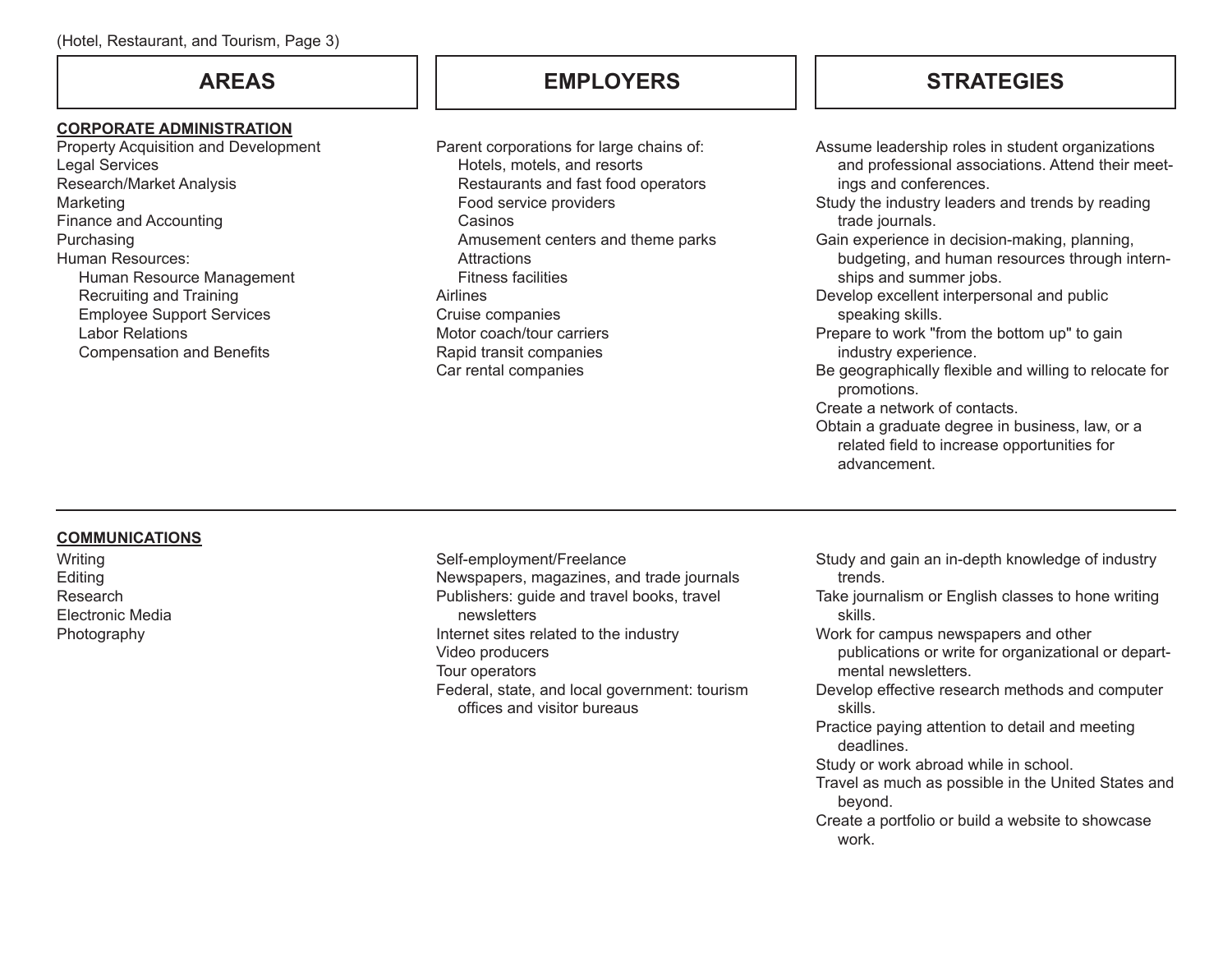### **CORPORATE ADMINISTRATION**

Property Acquisition and Development Legal Services Research/Market Analysis **Marketing** Finance and Accounting Purchasing Human Resources: Human Resource Management Recruiting and Training Employee Support Services Labor Relations Compensation and Benefits

Parent corporations for large chains of: Hotels, motels, and resorts Restaurants and fast food operators Food service providers Casinos Amusement centers and theme parks **Attractions** Fitness facilities Airlines Cruise companies Motor coach/tour carriers Rapid transit companies Car rental companies

## **AREAS EMPLOYERS STRATEGIES**

Assume leadership roles in student organizations and professional associations. Attend their meetings and conferences. Study the industry leaders and trends by reading trade journals. Gain experience in decision-making, planning, budgeting, and human resources through internships and summer jobs. Develop excellent interpersonal and public speaking skills. Prepare to work "from the bottom up" to gain industry experience. Be geographically flexible and willing to relocate for promotions. Create a network of contacts. Obtain a graduate degree in business, law, or a related field to increase opportunities for advancement.

## **COMMUNICATIONS**

**Writing** Editing Research Electronic Media Photography

Self-employment/Freelance Newspapers, magazines, and trade journals Publishers: guide and travel books, travel newsletters Internet sites related to the industry Video producers Tour operators Federal, state, and local government: tourism offices and visitor bureaus

- Study and gain an in-depth knowledge of industry trends.
- Take journalism or English classes to hone writing skills.
- Work for campus newspapers and other publications or write for organizational or departmental newsletters.
- Develop effective research methods and computer skills.
- Practice paying attention to detail and meeting deadlines.
- Study or work abroad while in school.
- Travel as much as possible in the United States and beyond.
- Create a portfolio or build a website to showcase work.